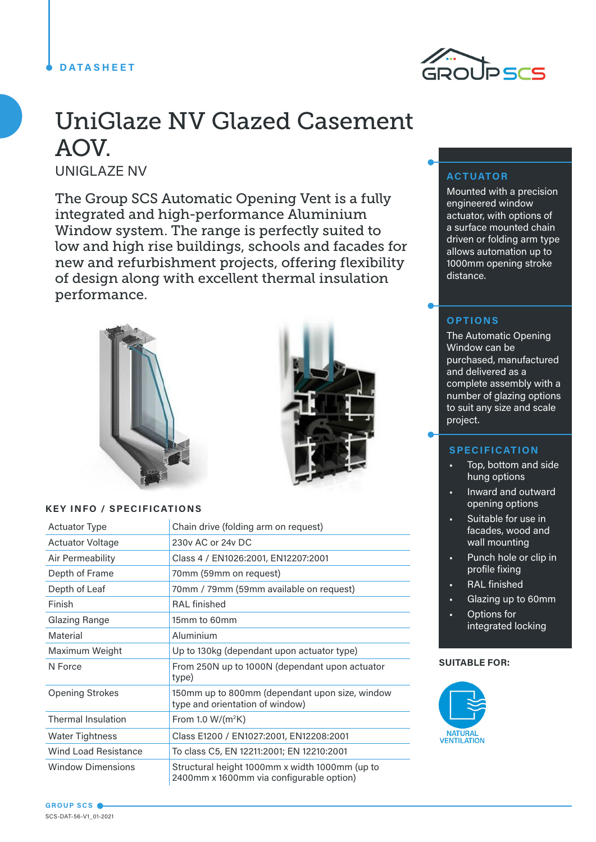## **DATASHEET**



# UniGlaze NV Glazed Casement AOV.

UNIGLAZE NV

The Group SCS Automatic Opening Vent is a fully integrated and high-performance Aluminium Window system. The range is perfectly suited to low and high rise buildings, schools and facades for new and refurbishment projects, offering flexibility of design along with excellent thermal insulation performance.





## **KEY INFO / SPECIFICATIONS**

| <b>Actuator Type</b>        | Chain drive (folding arm on request)                                                       |
|-----------------------------|--------------------------------------------------------------------------------------------|
| <b>Actuator Voltage</b>     | 230y AC or 24y DC                                                                          |
| Air Permeability            | Class 4 / EN1026:2001, EN12207:2001                                                        |
| Depth of Frame              | 70mm (59mm on request)                                                                     |
| Depth of Leaf               | 70mm / 79mm (59mm available on request)                                                    |
| Finish                      | <b>RAL</b> finished                                                                        |
| <b>Glazing Range</b>        | 15mm to 60mm                                                                               |
| Material                    | Aluminium                                                                                  |
| Maximum Weight              | Up to 130kg (dependant upon actuator type)                                                 |
| N Force                     | From 250N up to 1000N (dependant upon actuator<br>type)                                    |
| <b>Opening Strokes</b>      | 150mm up to 800mm (dependant upon size, window<br>type and orientation of window)          |
| <b>Thermal Insulation</b>   | From 1.0 $W/(m^2K)$                                                                        |
| <b>Water Tightness</b>      | Class E1200 / EN1027:2001, EN12208:2001                                                    |
| <b>Wind Load Resistance</b> | To class C5, EN 12211:2001; EN 12210:2001                                                  |
| <b>Window Dimensions</b>    | Structural height 1000mm x width 1000mm (up to<br>2400mm x 1600mm via configurable option) |

## **ACTUATOR**

Mounted with a precision engineered window actuator, with options of a surface mounted chain driven or folding arm type allows automation up to 1000mm opening stroke distance.

## **OPTIONS**

The Automatic Opening Window can be purchased, manufactured and delivered as a complete assembly with a number of glazing options to suit any size and scale project.

## **SPECIFICATION**

- Top, bottom and side hung options
- Inward and outward opening options
- Suitable for use in facades, wood and wall mounting
- Punch hole or clip in profile fixing
- **RAL** finished
- Glazing up to 60mm
- Options for integrated locking

#### **SUITABLE FOR:**

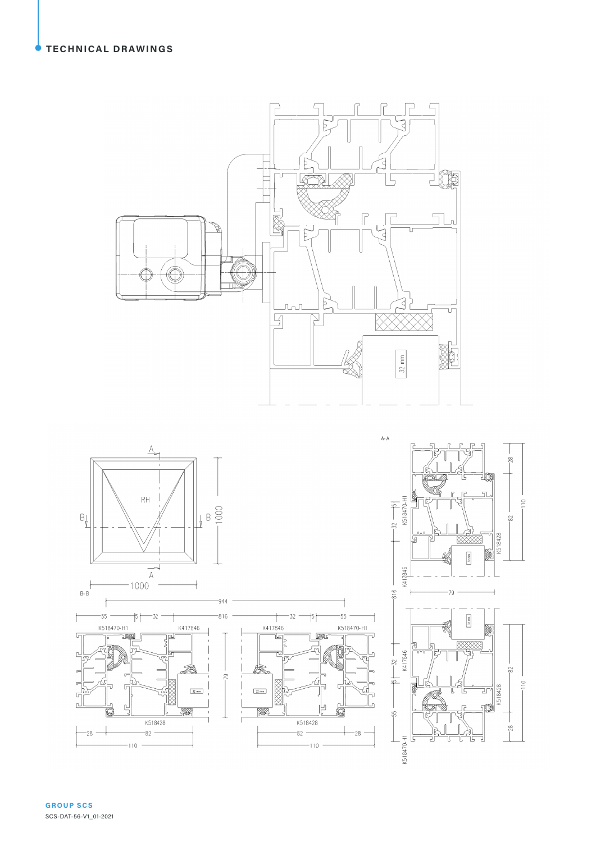





**GROUP SCS** SCS-DAT-56-V1\_01-2021